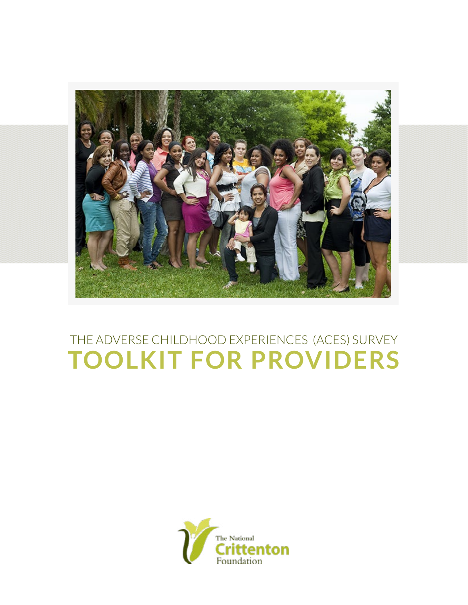

## THE ADVERSE CHILDHOOD EXPERIENCES (ACES) SURVEY **TOOLKIT FOR PROVIDERS**

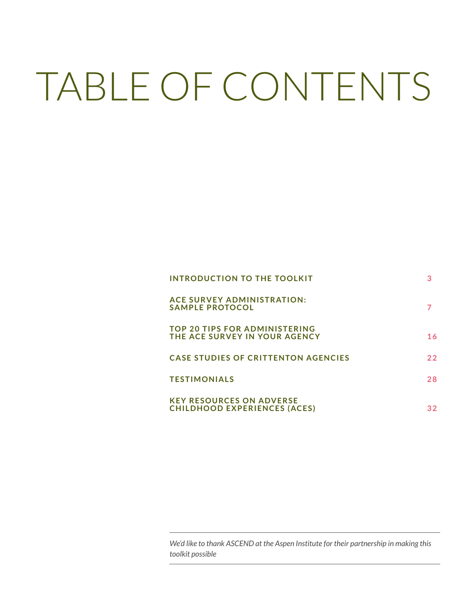# TABLE OF CONTENTS

| INTRODUCTION TO THE TOOLKIT                                            |    |
|------------------------------------------------------------------------|----|
| <b>ACE SURVEY ADMINISTRATION:</b><br><b>SAMPLE PROTOCOL</b>            |    |
| <b>TOP 20 TIPS FOR ADMINISTERING</b><br>THE ACE SURVEY IN YOUR AGENCY  | 16 |
| <b>CASE STUDIES OF CRITTENTON AGENCIES</b>                             | 22 |
| <b>TESTIMONIALS</b>                                                    | 28 |
| <b>KEY RESOURCES ON ADVERSE</b><br><b>CHILDHOOD EXPERIENCES (ACES)</b> | 32 |

*We'd like to thank ASCEND at the Aspen Institute for their partnership in making this toolkit possible*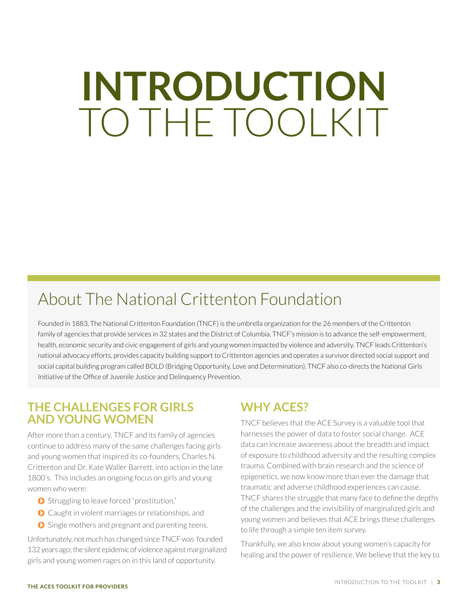## <span id="page-2-0"></span>**INTRODUCTION** TO THE TOOLKIT

## About The National Crittenton Foundation

Founded in 1883, The National Crittenton Foundation (TNCF) is the umbrella organization for the 26 members of the Crittenton family of agencies that provide services in 32 states and the District of Columbia. TNCF's mission is to advance the self-empowerment, health, economic security and civic engagement of girls and young women impacted by violence and adversity. TNCF leads Crittenton's national advocacy efforts, provides capacity building support to Crittenton agencies and operates a survivor directed social support and social capital building program called BOLD (Bridging Opportunity, Love and Determination). TNCF also co-directs the National Girls Initiative of the Office of Juvenile Justice and Delinquency Prevention.

## **THE CHALLENGES FOR GIRLS AND YOUNG WOMEN**

After more than a century, TNCF and its family of agencies continue to address many of the same challenges facing girls and young women that inspired its co-founders, Charles N. Crittenton and Dr. Kate Waller Barrett, into action in the late 1800's. This includes an ongoing focus on girls and young women who were:

- Struggling to leave forced "prostitution,"
- **O** Caught in violent marriages or relationships, and
- Single mothers and pregnant and parenting teens.

Unfortunately, not much has changed since TNCF was founded 132 years ago; the silent epidemic of violence against marginalized girls and young women rages on in this land of opportunity.

## **WHY ACES?**

TNCF believes that the ACE Survey is a valuable tool that harnesses the power of data to foster social change. ACE data can increase awareness about the breadth and impact of exposure to childhood adversity and the resulting complex trauma. Combined with brain research and the science of epigenetics, we now know more than ever the damage that traumatic and adverse childhood experiences can cause. TNCF shares the struggle that many face to define the depths of the challenges and the invisibility of marginalized girls and young women and believes that ACE brings these challenges to life through a simple ten item survey.

Thankfully, we also know about young women's capacity for healing and the power of resilience. We believe that the key to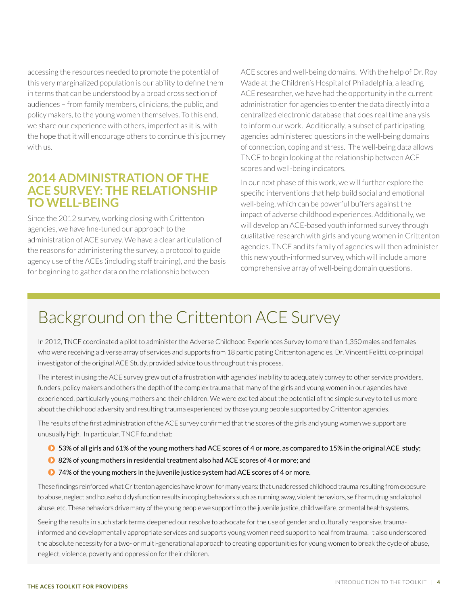accessing the resources needed to promote the potential of this very marginalized population is our ability to define them in terms that can be understood by a broad cross section of audiences – from family members, clinicians, the public, and policy makers, to the young women themselves. To this end, we share our experience with others, imperfect as it is, with the hope that it will encourage others to continue this journey with us.

### **2014 ADMINISTRATION OF THE ACE SURVEY: THE RELATIONSHIP TO WELL-BEING**

Since the 2012 survey, working closing with Crittenton agencies, we have fine-tuned our approach to the administration of ACE survey. We have a clear articulation of the reasons for administering the survey, a protocol to guide agency use of the ACEs (including staff training), and the basis for beginning to gather data on the relationship between

ACE scores and well-being domains. With the help of Dr. Roy Wade at the Children's Hospital of Philadelphia, a leading ACE researcher, we have had the opportunity in the current administration for agencies to enter the data directly into a centralized electronic database that does real time analysis to inform our work. Additionally, a subset of participating agencies administered questions in the well-being domains of connection, coping and stress. The well-being data allows TNCF to begin looking at the relationship between ACE scores and well-being indicators.

In our next phase of this work, we will further explore the specific interventions that help build social and emotional well-being, which can be powerful buffers against the impact of adverse childhood experiences. Additionally, we will develop an ACE-based youth informed survey through qualitative research with girls and young women in Crittenton agencies. TNCF and its family of agencies will then administer this new youth-informed survey, which will include a more comprehensive array of well-being domain questions.

## Background on the Crittenton ACE Survey

In 2012, TNCF coordinated a pilot to administer the Adverse Childhood Experiences Survey to more than 1,350 males and females who were receiving a diverse array of services and supports from 18 participating Crittenton agencies. Dr. Vincent Felitti, co-principal investigator of the original ACE Study, provided advice to us throughout this process.

The interest in using the ACE survey grew out of a frustration with agencies' inability to adequately convey to other service providers, funders, policy makers and others the depth of the complex trauma that many of the girls and young women in our agencies have experienced, particularly young mothers and their children. We were excited about the potential of the simple survey to tell us more about the childhood adversity and resulting trauma experienced by those young people supported by Crittenton agencies.

The results of the first administration of the ACE survey confirmed that the scores of the girls and young women we support are unusually high. In particular, TNCF found that:

- **O** 53% of all girls and 61% of the young mothers had ACE scores of 4 or more, as compared to 15% in the original ACE study;
- 82% of young mothers in residential treatment also had ACE scores of 4 or more; and
- **◆ 74% of the young mothers in the juvenile justice system had ACE scores of 4 or more.**

These findings reinforced what Crittenton agencies have known for many years: that unaddressed childhood trauma resulting from exposure to abuse, neglect and household dysfunction results in coping behaviors such as running away, violent behaviors, self harm, drug and alcohol abuse, etc. These behaviors drive many of the young people we support into the juvenile justice, child welfare, or mental health systems.

Seeing the results in such stark terms deepened our resolve to advocate for the use of gender and culturally responsive, traumainformed and developmentally appropriate services and supports young women need support to heal from trauma. It also underscored the absolute necessity for a two- or multi-generational approach to creating opportunities for young women to break the cycle of abuse, neglect, violence, poverty and oppression for their children.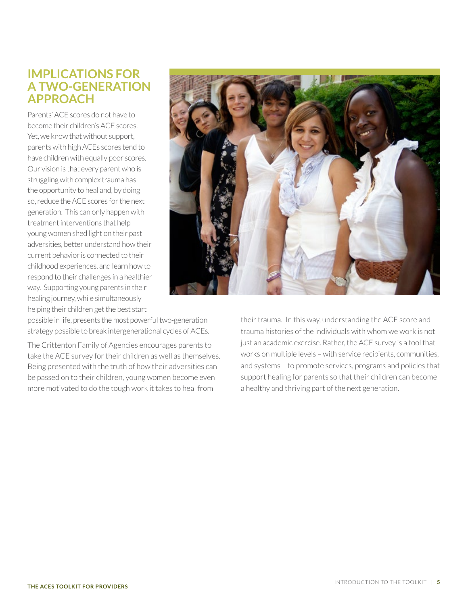### **IMPLICATIONS FOR A TWO-GENERATION APPROACH**

Parents' ACE scores do not have to become their children's ACE scores. Yet, we know that without support, parents with high ACEs scores tend to have children with equally poor scores. Our vision is that every parent who is struggling with complex trauma has the opportunity to heal and, by doing so, reduce the ACE scores for the next generation. This can only happen with treatment interventions that help young women shed light on their past adversities, better understand how their current behavior is connected to their childhood experiences, and learn how to respond to their challenges in a healthier way. Supporting young parents in their healing journey, while simultaneously helping their children get the best start

possible in life, presents the most powerful two-generation strategy possible to break intergenerational cycles of ACEs.

The Crittenton Family of Agencies encourages parents to take the ACE survey for their children as well as themselves. Being presented with the truth of how their adversities can be passed on to their children, young women become even more motivated to do the tough work it takes to heal from

their trauma. In this way, understanding the ACE score and trauma histories of the individuals with whom we work is not just an academic exercise. Rather, the ACE survey is a tool that works on multiple levels – with service recipients, communities, and systems – to promote services, programs and policies that support healing for parents so that their children can become a healthy and thriving part of the next generation.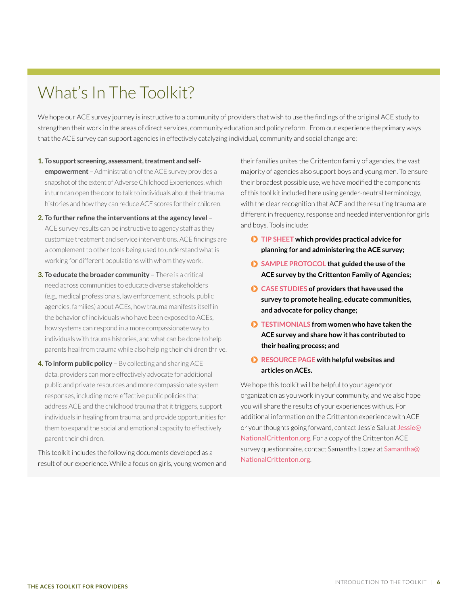## What's In The Toolkit?

We hope our ACE survey journey is instructive to a community of providers that wish to use the findings of the original ACE study to strengthen their work in the areas of direct services, community education and policy reform. From our experience the primary ways that the ACE survey can support agencies in effectively catalyzing individual, community and social change are:

- **1. To support screening, assessment, treatment and selfempowerment** – Administration of the ACE survey provides a snapshot of the extent of Adverse Childhood Experiences, which in turn can open the door to talk to individuals about their trauma histories and how they can reduce ACE scores for their children.
- **2. To further refine the interventions at the agency level**  ACE survey results can be instructive to agency staff as they customize treatment and service interventions. ACE findings are a complement to other tools being used to understand what is working for different populations with whom they work.
- **3. To educate the broader community**  There is a critical need across communities to educate diverse stakeholders (e.g., medical professionals, law enforcement, schools, public agencies, families) about ACEs, how trauma manifests itself in the behavior of individuals who have been exposed to ACEs, how systems can respond in a more compassionate way to individuals with trauma histories, and what can be done to help parents heal from trauma while also helping their children thrive.
- **4. To inform public policy** By collecting and sharing ACE data, providers can more effectively advocate for additional public and private resources and more compassionate system responses, including more effective public policies that address ACE and the childhood trauma that it triggers, support individuals in healing from trauma, and provide opportunities for them to expand the social and emotional capacity to effectively parent their children.

This toolkit includes the following documents developed as a result of our experience. While a focus on girls, young women and their families unites the Crittenton family of agencies, the vast majority of agencies also support boys and young men. To ensure their broadest possible use, we have modified the components of this tool kit included here using gender-neutral terminology, with the clear recognition that ACE and the resulting trauma are different in frequency, response and needed intervention for girls and boys. Tools include:

- **[TIP SHEET](#page-15-1) which provides practical advice for planning for and administering the ACE survey;**
- **[SAMPLE PROTOCOL](#page-6-1) that guided the use of the ACE survey by the Crittenton Family of Agencies;**
- **[CASE STUDIES](#page-21-1) of providers that have used the survey to promote healing, educate communities, and advocate for policy change;**
- **[TESTIMONIALS](#page-27-1) from women who have taken the ACE survey and share how it has contributed to their healing process; and**
- **[RESOURCE PAGE](#page-31-1) with helpful websites and articles on ACEs.**

We hope this toolkit will be helpful to your agency or organization as you work in your community, and we also hope you will share the results of your experiences with us. For additional information on the Crittenton experience with ACE or your thoughts going forward, contact Jessie Salu at [Jessie@](mailto:Jessie%40NationalCrittenton.org?subject=Re%3A%20ACE%20Toolkit%20for%20Providers) [NationalCrittenton.org](mailto:Jessie%40NationalCrittenton.org?subject=Re%3A%20ACE%20Toolkit%20for%20Providers). For a copy of the Crittenton ACE survey questionnaire, contact Samantha Lopez at [Samantha@](mailto:Samantha%40NationalCrittenton.org?subject=Request%20for%20copy%20of%20the%20Crittenton%20ACE%20survey%20questionnaire) [NationalCrittenton.org](mailto:Samantha%40NationalCrittenton.org?subject=Request%20for%20copy%20of%20the%20Crittenton%20ACE%20survey%20questionnaire).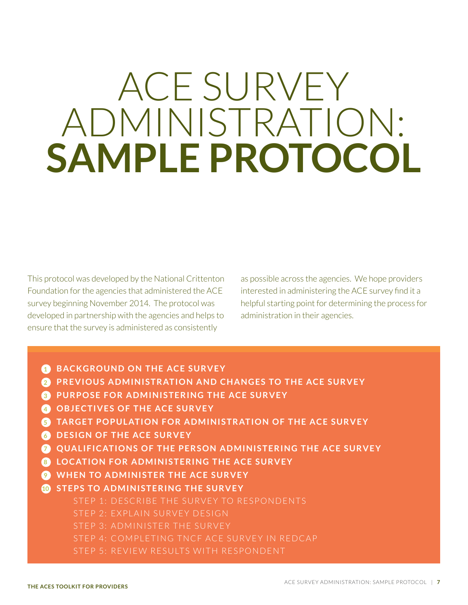## <span id="page-6-1"></span><span id="page-6-0"></span>ACE SURVEY ADMINISTRATION: **SAMPLE PROTOCOL**

This protocol was developed by the National Crittenton Foundation for the agencies that administered the ACE survey beginning November 2014. The protocol was developed in partnership with the agencies and helps to ensure that the survey is administered as consistently

as possible across the agencies. We hope providers interested in administering the ACE survey find it a helpful starting point for determining the process for administration in their agencies.

- **1 BACKGROUND ON THE ACE SURVEY**
- **2 PREVIOUS ADMINISTRATION AND CHANGES TO THE ACE SURVEY**
- **3 PURPOSE FOR ADMINISTERING THE ACE SURVEY**
- **4 OBJECTIVES OF THE ACE SURVEY**
- **5 TARGET POPULATION FOR ADMINISTRATION OF THE ACE SURVEY**
- **6 DESIGN OF THE ACE SURVEY**
- **7 QUALIFICATIONS OF THE PERSON ADMINISTERING THE ACE SURVEY**
- **8 LOCATION FOR ADMINISTERING THE ACE SURVEY**
- **9 WHEN TO ADMINISTER THE ACE SURVEY**
- **10 STEPS TO ADMINISTERING THE SURVEY**
	- STEP 1: DESCRIBE THE SURVEY TO RESPONDENTS
	- STEP 2: EXPLAIN SURVEY DESIGN
	- STEP 3: ADMINISTER THE SURVEY
	- STEP 4: COMPLETING TNCF ACE SURVEY IN REDCAP
	- STEP 5: REVIEW RESULTS WITH RESPONDENT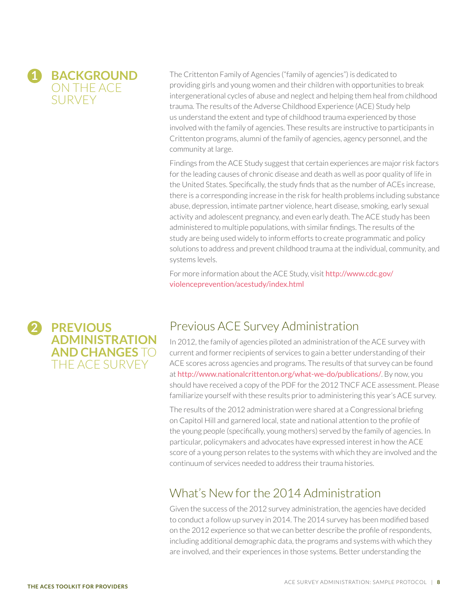

The Crittenton Family of Agencies ("family of agencies") is dedicated to providing girls and young women and their children with opportunities to break intergenerational cycles of abuse and neglect and helping them heal from childhood trauma. The results of the Adverse Childhood Experience (ACE) Study help us understand the extent and type of childhood trauma experienced by those involved with the family of agencies. These results are instructive to participants in Crittenton programs, alumni of the family of agencies, agency personnel, and the community at large.

Findings from the ACE Study suggest that certain experiences are major risk factors for the leading causes of chronic disease and death as well as poor quality of life in the United States. Specifically, the study finds that as the number of ACEs increase, there is a corresponding increase in the risk for health problems including substance abuse, depression, intimate partner violence, heart disease, smoking, early sexual activity and adolescent pregnancy, and even early death. The ACE study has been administered to multiple populations, with similar findings. The results of the study are being used widely to inform efforts to create programmatic and policy solutions to address and prevent childhood trauma at the individual, community, and systems levels.

For more information about the ACE Study, visit [http://www.cdc.gov/](http://www.cdc.gov/violenceprevention/acestudy/index.html) [violenceprevention/acestudy/index.html](http://www.cdc.gov/violenceprevention/acestudy/index.html)

## Previous ACE Survey Administration

In 2012, the family of agencies piloted an administration of the ACE survey with current and former recipients of services to gain a better understanding of their ACE scores across agencies and programs. The results of that survey can be found at <http://www.nationalcrittenton.org/what-we-do/publications/>. By now, you should have received a copy of the PDF for the 2012 TNCF ACE assessment. Please familiarize yourself with these results prior to administering this year's ACE survey.

The results of the 2012 administration were shared at a Congressional briefing on Capitol Hill and garnered local, state and national attention to the profile of the young people (specifically, young mothers) served by the family of agencies. In particular, policymakers and advocates have expressed interest in how the ACE score of a young person relates to the systems with which they are involved and the continuum of services needed to address their trauma histories.

## What's New for the 2014 Administration

Given the success of the 2012 survey administration, the agencies have decided to conduct a follow up survey in 2014. The 2014 survey has been modified based on the 2012 experience so that we can better describe the profile of respondents, including additional demographic data, the programs and systems with which they are involved, and their experiences in those systems. Better understanding the

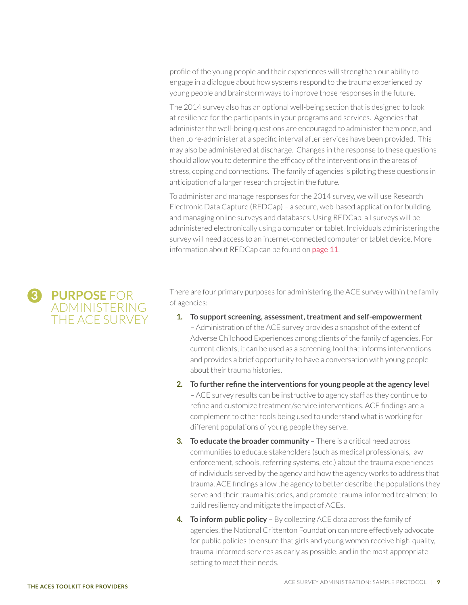profile of the young people and their experiences will strengthen our ability to engage in a dialogue about how systems respond to the trauma experienced by young people and brainstorm ways to improve those responses in the future.

The 2014 survey also has an optional well-being section that is designed to look at resilience for the participants in your programs and services. Agencies that administer the well-being questions are encouraged to administer them once, and then to re-administer at a specific interval after services have been provided. This may also be administered at discharge. Changes in the response to these questions should allow you to determine the efficacy of the interventions in the areas of stress, coping and connections. The family of agencies is piloting these questions in anticipation of a larger research project in the future.

To administer and manage responses for the 2014 survey, we will use Research Electronic Data Capture (REDCap) – a secure, web-based application for building and managing online surveys and databases. Using REDCap, all surveys will be administered electronically using a computer or tablet. Individuals administering the survey will need access to an internet-connected computer or tablet device. More information about REDCap can be found on [page 11](#page-10-0).

**3 PURPOSE** FOR ADMINISTERING THE ACE SURVEY There are four primary purposes for administering the ACE survey within the family of agencies:

- **1. To support screening, assessment, treatment and self-empowerment** – Administration of the ACE survey provides a snapshot of the extent of Adverse Childhood Experiences among clients of the family of agencies. For current clients, it can be used as a screening tool that informs interventions and provides a brief opportunity to have a conversation with young people about their trauma histories.
- **2. To further refine the interventions for young people at the agency leve**l – ACE survey results can be instructive to agency staff as they continue to refine and customize treatment/service interventions. ACE findings are a complement to other tools being used to understand what is working for different populations of young people they serve.
- **3. To educate the broader community** There is a critical need across communities to educate stakeholders (such as medical professionals, law enforcement, schools, referring systems, etc.) about the trauma experiences of individuals served by the agency and how the agency works to address that trauma. ACE findings allow the agency to better describe the populations they serve and their trauma histories, and promote trauma-informed treatment to build resiliency and mitigate the impact of ACEs.
- **4. To inform public policy** By collecting ACE data across the family of agencies, the National Crittenton Foundation can more effectively advocate for public policies to ensure that girls and young women receive high-quality, trauma-informed services as early as possible, and in the most appropriate setting to meet their needs.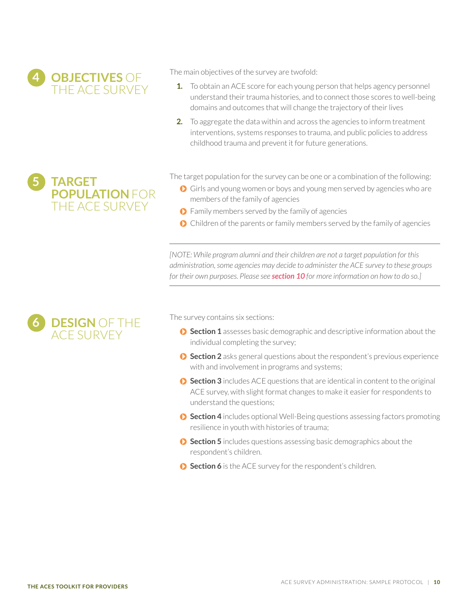

The main objectives of the survey are twofold:

- **1.** To obtain an ACE score for each young person that helps agency personnel understand their trauma histories, and to connect those scores to well-being domains and outcomes that will change the trajectory of their lives
- **2.** To aggregate the data within and across the agencies to inform treatment interventions, systems responses to trauma, and public policies to address childhood trauma and prevent it for future generations.

### **5 TARGET POPULATION** FOR THE ACE SURVEY



The target population for the survey can be one or a combination of the following:

- Girls and young women or boys and young men served by agencies who are members of the family of agencies
- **O** Family members served by the family of agencies
- $\bullet$  Children of the parents or family members served by the family of agencies

*[NOTE: While program alumni and their children are not a target population for this administration, some agencies may decide to administer the ACE survey to these groups for their own purposes. Please see [section 10](#page-11-0) for more information on how to do so.]*

The survey contains six sections:

- **Section 1** assesses basic demographic and descriptive information about the individual completing the survey;
- **Section 2** asks general questions about the respondent's previous experience with and involvement in programs and systems;
- **Section 3** includes ACE questions that are identical in content to the original ACE survey, with slight format changes to make it easier for respondents to understand the questions;
- **Section 4** includes optional Well-Being questions assessing factors promoting resilience in youth with histories of trauma;
- **Section 5** includes questions assessing basic demographics about the respondent's children.
- **Section 6** is the ACE survey for the respondent's children.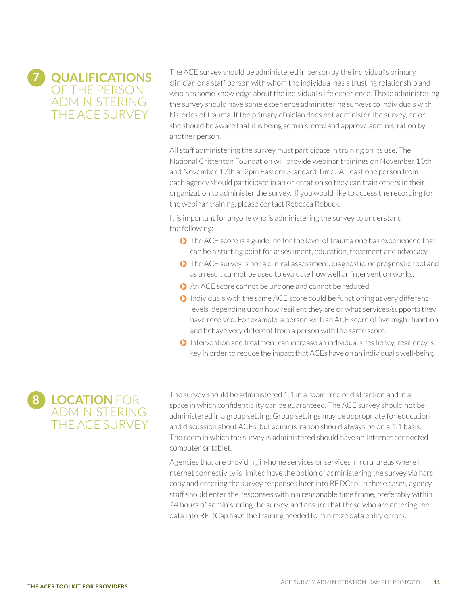<span id="page-10-0"></span>

The ACE survey should be administered in person by the individual's primary clinician or a staff person with whom the individual has a trusting relationship and who has some knowledge about the individual's life experience. Those administering the survey should have some experience administering surveys to individuals with histories of trauma. If the primary clinician does not administer the survey, he or she should be aware that it is being administered and approve administration by another person.

All staff administering the survey must participate in training on its use. The National Crittenton Foundation will provide webinar trainings on November 10th and November 17th at 2pm Eastern Standard Time. At least one person from each agency should participate in an orientation so they can train others in their organization to administer the survey. If you would like to access the recording for the webinar training, please contact Rebecca Robuck.

It is important for anyone who is administering the survey to understand the following:

- **◯** The ACE score is a guideline for the level of trauma one has experienced that can be a starting point for assessment, education, treatment and advocacy.
- **◯** The ACE survey is not a clinical assessment, diagnostic, or prognostic tool and as a result cannot be used to evaluate how well an intervention works.
- An ACE score cannot be undone and cannot be reduced.
- $\bigcirc$  Individuals with the same ACE score could be functioning at very different levels, depending upon how resilient they are or what services/supports they have received. For example, a person with an ACE score of five might function and behave very different from a person with the same score.
- $\bullet$  Intervention and treatment can increase an individual's resiliency; resiliency is key in order to reduce the impact that ACEs have on an individual's well-being.



The survey should be administered 1:1 in a room free of distraction and in a space in which confidentiality can be guaranteed. The ACE survey should not be administered in a group setting. Group settings may be appropriate for education and discussion about ACEs, but administration should always be on a 1:1 basis. The room in which the survey is administered should have an Internet connected computer or tablet.

Agencies that are providing in-home services or services in rural areas where I nternet connectivity is limited have the option of administering the survey via hard copy and entering the survey responses later into REDCap. In these cases, agency staff should enter the responses within a reasonable time frame, preferably within 24 hours of administering the survey, and ensure that those who are entering the data into REDCap have the training needed to minimize data entry errors.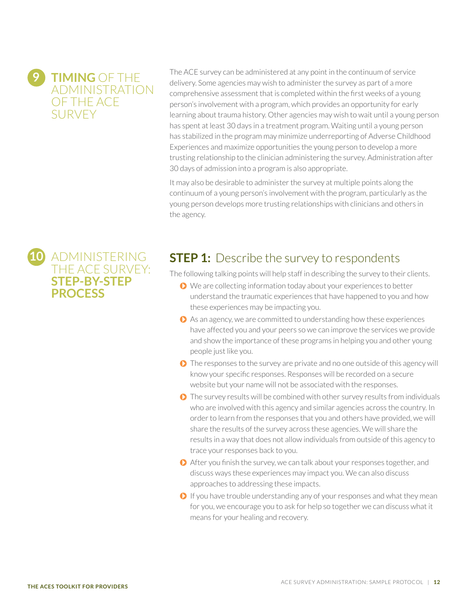## **9 TIMING** OF THE ADMINISTRATION OF THE ACE **SURVEY**

<span id="page-11-0"></span>**10** ADMINISTERING

**STEP-BY-STEP** 

**PROCESS**

THE ACE SURVEY:

The ACE survey can be administered at any point in the continuum of service delivery. Some agencies may wish to administer the survey as part of a more comprehensive assessment that is completed within the first weeks of a young person's involvement with a program, which provides an opportunity for early learning about trauma history. Other agencies may wish to wait until a young person has spent at least 30 days in a treatment program. Waiting until a young person has stabilized in the program may minimize underreporting of Adverse Childhood Experiences and maximize opportunities the young person to develop a more trusting relationship to the clinician administering the survey. Administration after 30 days of admission into a program is also appropriate.

It may also be desirable to administer the survey at multiple points along the continuum of a young person's involvement with the program, particularly as the young person develops more trusting relationships with clinicians and others in the agency.

## **STEP 1:** Describe the survey to respondents

The following talking points will help staff in describing the survey to their clients.

- ◆ We are collecting information today about your experiences to better understand the traumatic experiences that have happened to you and how these experiences may be impacting you.
- As an agency, we are committed to understanding how these experiences have affected you and your peers so we can improve the services we provide and show the importance of these programs in helping you and other young people just like you.
- **◯** The responses to the survey are private and no one outside of this agency will know your specific responses. Responses will be recorded on a secure website but your name will not be associated with the responses.
- **◯** The survey results will be combined with other survey results from individuals who are involved with this agency and similar agencies across the country. In order to learn from the responses that you and others have provided, we will share the results of the survey across these agencies. We will share the results in a way that does not allow individuals from outside of this agency to trace your responses back to you.
- After you finish the survey, we can talk about your responses together, and discuss ways these experiences may impact you. We can also discuss approaches to addressing these impacts.
- **If you have trouble understanding any of your responses and what they mean** for you, we encourage you to ask for help so together we can discuss what it means for your healing and recovery.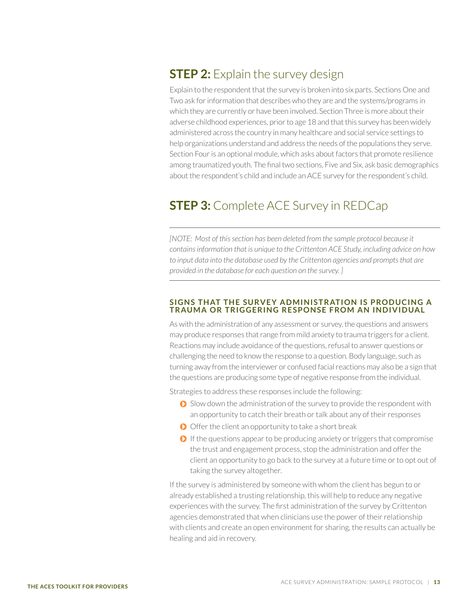## **STEP 2:** Explain the survey design

Explain to the respondent that the survey is broken into six parts. Sections One and Two ask for information that describes who they are and the systems/programs in which they are currently or have been involved. Section Three is more about their adverse childhood experiences, prior to age 18 and that this survey has been widely administered across the country in many healthcare and social service settings to help organizations understand and address the needs of the populations they serve. Section Four is an optional module, which asks about factors that promote resilience among traumatized youth. The final two sections, Five and Six, ask basic demographics about the respondent's child and include an ACE survey for the respondent's child.

## **STEP 3:** Complete ACE Survey in REDCap

*[NOTE: Most of this section has been deleted from the sample protocol because it contains information that is unique to the Crittenton ACE Study, including advice on how to input data into the database used by the Crittenton agencies and prompts that are provided in the database for each question on the survey. ]*

#### **SIGNS THAT THE SURVEY ADMINISTRATION IS PRODUCING A TRAUMA OR TRIGGERING RESPONSE FROM AN INDIVIDUAL**

As with the administration of any assessment or survey, the questions and answers may produce responses that range from mild anxiety to trauma triggers for a client. Reactions may include avoidance of the questions, refusal to answer questions or challenging the need to know the response to a question. Body language, such as turning away from the interviewer or confused facial reactions may also be a sign that the questions are producing some type of negative response from the individual.

Strategies to address these responses include the following:

- Slow down the administration of the survey to provide the respondent with an opportunity to catch their breath or talk about any of their responses
- $\bigcirc$  Offer the client an opportunity to take a short break
- $\bullet$  If the questions appear to be producing anxiety or triggers that compromise the trust and engagement process, stop the administration and offer the client an opportunity to go back to the survey at a future time or to opt out of taking the survey altogether.

If the survey is administered by someone with whom the client has begun to or already established a trusting relationship, this will help to reduce any negative experiences with the survey. The first administration of the survey by Crittenton agencies demonstrated that when clinicians use the power of their relationship with clients and create an open environment for sharing, the results can actually be healing and aid in recovery.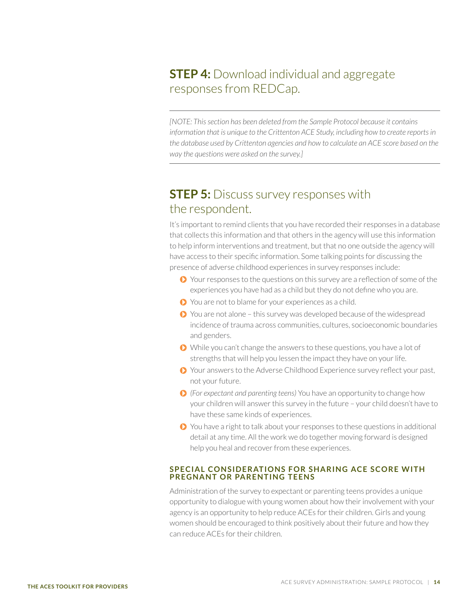## **STEP 4:** Download individual and aggregate responses from REDCap.

*[NOTE: This section has been deleted from the Sample Protocol because it contains information that is unique to the Crittenton ACE Study, including how to create reports in the database used by Crittenton agencies and how to calculate an ACE score based on the way the questions were asked on the survey.]*

## **STEP 5:** Discuss survey responses with the respondent.

It's important to remind clients that you have recorded their responses in a database that collects this information and that others in the agency will use this information to help inform interventions and treatment, but that no one outside the agency will have access to their specific information. Some talking points for discussing the presence of adverse childhood experiences in survey responses include:

- **◆** Your responses to the questions on this survey are a reflection of some of the experiences you have had as a child but they do not define who you are.
- $\bullet$  You are not to blame for your experiences as a child.
- ◆ You are not alone this survey was developed because of the widespread incidence of trauma across communities, cultures, socioeconomic boundaries and genders.
- While you can't change the answers to these questions, you have a lot of strengths that will help you lessen the impact they have on your life.
- Your answers to the Adverse Childhood Experience survey reflect your past, not your future.
- *(For expectant and parenting teens)* You have an opportunity to change how your children will answer this survey in the future – your child doesn't have to have these same kinds of experiences.
- You have a right to talk about your responses to these questions in additional detail at any time. All the work we do together moving forward is designed help you heal and recover from these experiences.

#### **SPECIAL CONSIDERATIONS FOR SHARING ACE SCORE WITH PREGNANT OR PARENTING TEENS**

Administration of the survey to expectant or parenting teens provides a unique opportunity to dialogue with young women about how their involvement with your agency is an opportunity to help reduce ACEs for their children. Girls and young women should be encouraged to think positively about their future and how they can reduce ACEs for their children.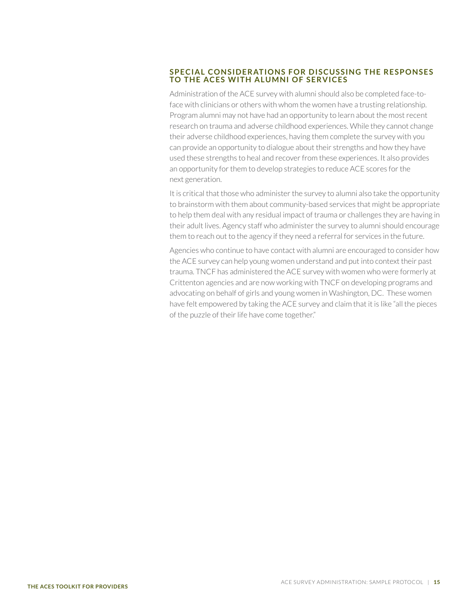#### **SPECIAL CONSIDERATIONS FOR DISCUSSING THE RESPONSES TO THE ACES WITH ALUMNI OF SERVICES**

Administration of the ACE survey with alumni should also be completed face-toface with clinicians or others with whom the women have a trusting relationship. Program alumni may not have had an opportunity to learn about the most recent research on trauma and adverse childhood experiences. While they cannot change their adverse childhood experiences, having them complete the survey with you can provide an opportunity to dialogue about their strengths and how they have used these strengths to heal and recover from these experiences. It also provides an opportunity for them to develop strategies to reduce ACE scores for the next generation.

It is critical that those who administer the survey to alumni also take the opportunity to brainstorm with them about community-based services that might be appropriate to help them deal with any residual impact of trauma or challenges they are having in their adult lives. Agency staff who administer the survey to alumni should encourage them to reach out to the agency if they need a referral for services in the future.

Agencies who continue to have contact with alumni are encouraged to consider how the ACE survey can help young women understand and put into context their past trauma. TNCF has administered the ACE survey with women who were formerly at Crittenton agencies and are now working with TNCF on developing programs and advocating on behalf of girls and young women in Washington, DC. These women have felt empowered by taking the ACE survey and claim that it is like "all the pieces of the puzzle of their life have come together."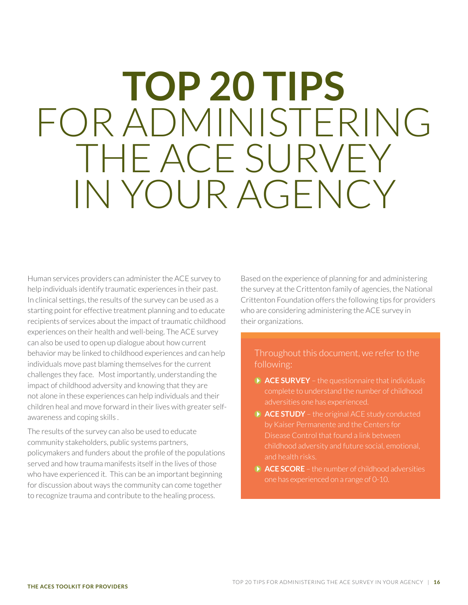## <span id="page-15-1"></span><span id="page-15-0"></span>**TOP 20 TIPS** FOR ADMINISTERING THE ACE SURVEY IN YOUR AGENCY

Human services providers can administer the ACE survey to help individuals identify traumatic experiences in their past. In clinical settings, the results of the survey can be used as a starting point for effective treatment planning and to educate recipients of services about the impact of traumatic childhood experiences on their health and well-being. The ACE survey can also be used to open up dialogue about how current behavior may be linked to childhood experiences and can help individuals move past blaming themselves for the current challenges they face. Most importantly, understanding the impact of childhood adversity and knowing that they are not alone in these experiences can help individuals and their children heal and move forward in their lives with greater selfawareness and coping skills .

The results of the survey can also be used to educate community stakeholders, public systems partners, policymakers and funders about the profile of the populations served and how trauma manifests itself in the lives of those who have experienced it. This can be an important beginning for discussion about ways the community can come together to recognize trauma and contribute to the healing process.

Based on the experience of planning for and administering the survey at the Crittenton family of agencies, the National Crittenton Foundation offers the following tips for providers who are considering administering the ACE survey in their organizations.

#### Throughout this document, we refer to the following:

- **ACE SURVEY**  the questionnaire that individuals complete to understand the number of childhood adversities one has experienced.
- **ACE STUDY**  the original ACE study conducted Disease Control that found a link between childhood adversity and future social, emotional, and health risks.
- **ACE SCORE** the number of childhood adversities one has experienced on a range of 0-10.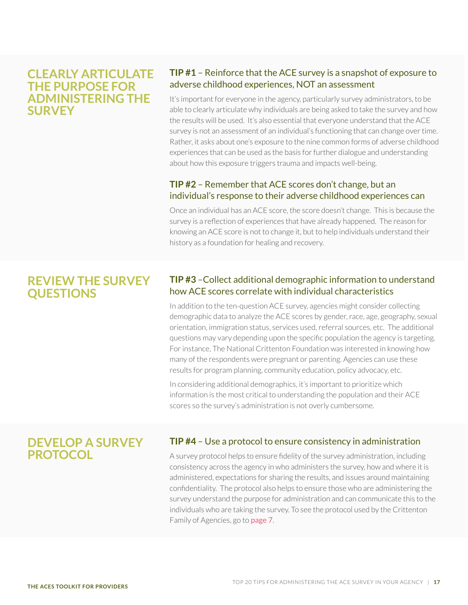#### **CLEARLY ARTICULATE THE PURPOSE FOR ADMINISTERING THE SURVEY**

#### **TIP #1** – Reinforce that the ACE survey is a snapshot of exposure to adverse childhood experiences, NOT an assessment

It's important for everyone in the agency, particularly survey administrators, to be able to clearly articulate why individuals are being asked to take the survey and how the results will be used. It's also essential that everyone understand that the ACE survey is not an assessment of an individual's functioning that can change over time. Rather, it asks about one's exposure to the nine common forms of adverse childhood experiences that can be used as the basis for further dialogue and understanding about how this exposure triggers trauma and impacts well-being.

#### **TIP #2** – Remember that ACE scores don't change, but an individual's response to their adverse childhood experiences can

Once an individual has an ACE score, the score doesn't change. This is because the survey is a reflection of experiences that have already happened. The reason for knowing an ACE score is not to change it, but to help individuals understand their history as a foundation for healing and recovery.

### **REVIEW THE SURVEY QUESTIONS**

#### **TIP #3** –Collect additional demographic information to understand how ACE scores correlate with individual characteristics

In addition to the ten-question ACE survey, agencies might consider collecting demographic data to analyze the ACE scores by gender, race, age, geography, sexual orientation, immigration status, services used, referral sources, etc. The additional questions may vary depending upon the specific population the agency is targeting. For instance, The National Crittenton Foundation was interested in knowing how many of the respondents were pregnant or parenting. Agencies can use these results for program planning, community education, policy advocacy, etc.

In considering additional demographics, it's important to prioritize which information is the most critical to understanding the population and their ACE scores so the survey's administration is not overly cumbersome.

## **DEVELOP A SURVEY PROTOCOL**

#### **TIP #4** – Use a protocol to ensure consistency in administration

A survey protocol helps to ensure fidelity of the survey administration, including consistency across the agency in who administers the survey, how and where it is administered, expectations for sharing the results, and issues around maintaining confidentiality. The protocol also helps to ensure those who are administering the survey understand the purpose for administration and can communicate this to the individuals who are taking the survey. To see the protocol used by the Crittenton Family of Agencies, go to [page 7](#page-6-0).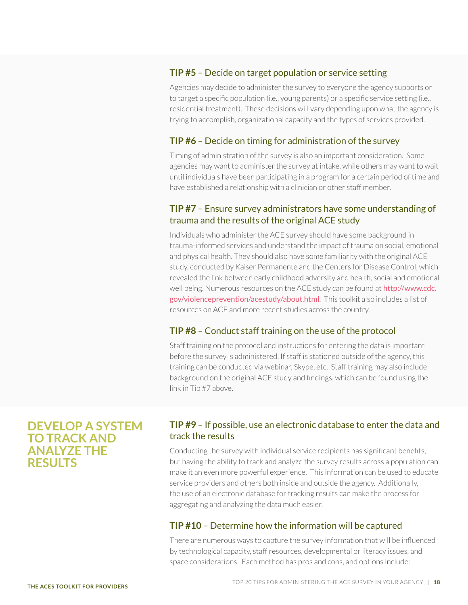#### **TIP #5** – Decide on target population or service setting

Agencies may decide to administer the survey to everyone the agency supports or to target a specific population (i.e., young parents) or a specific service setting (i.e., residential treatment). These decisions will vary depending upon what the agency is trying to accomplish, organizational capacity and the types of services provided.

#### **TIP #6** – Decide on timing for administration of the survey

Timing of administration of the survey is also an important consideration. Some agencies may want to administer the survey at intake, while others may want to wait until individuals have been participating in a program for a certain period of time and have established a relationship with a clinician or other staff member.

#### **TIP #7** – Ensure survey administrators have some understanding of trauma and the results of the original ACE study

Individuals who administer the ACE survey should have some background in trauma-informed services and understand the impact of trauma on social, emotional and physical health. They should also have some familiarity with the original ACE study, conducted by Kaiser Permanente and the Centers for Disease Control, which revealed the link between early childhood adversity and health, social and emotional well being. Numerous resources on the ACE study can be found at [http://www.cdc.](http://www.cdc.gov/violenceprevention/acestudy/about.html) [gov/violenceprevention/acestudy/about.html](http://www.cdc.gov/violenceprevention/acestudy/about.html). This toolkit also includes a list of resources on ACE and more recent studies across the country.

#### **TIP #8** – Conduct staff training on the use of the protocol

Staff training on the protocol and instructions for entering the data is important before the survey is administered. If staff is stationed outside of the agency, this training can be conducted via webinar, Skype, etc. Staff training may also include background on the original ACE study and findings, which can be found using the link in Tip #7 above.

#### **DEVELOP A SYSTEM TO TRACK AND ANALYZE THE RESULTS**

#### **TIP #9** – If possible, use an electronic database to enter the data and track the results

Conducting the survey with individual service recipients has significant benefits, but having the ability to track and analyze the survey results across a population can make it an even more powerful experience. This information can be used to educate service providers and others both inside and outside the agency. Additionally, the use of an electronic database for tracking results can make the process for aggregating and analyzing the data much easier.

#### **TIP #10** – Determine how the information will be captured

There are numerous ways to capture the survey information that will be influenced by technological capacity, staff resources, developmental or literacy issues, and space considerations. Each method has pros and cons, and options include: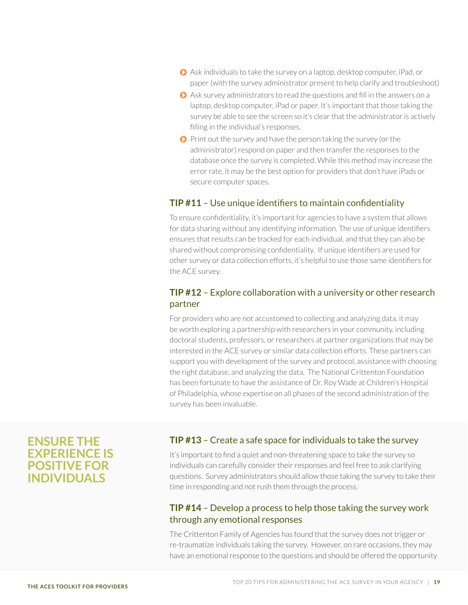- Ask individuals to take the survey on a laptop, desktop computer, iPad, or paper (with the survey administrator present to help clarify and troubleshoot)
- Ask survey administrators to read the questions and fill in the answers on a laptop, desktop computer, iPad or paper. It's important that those taking the survey be able to see the screen so it's clear that the administrator is actively filling in the individual's responses.
- $\bullet$  Print out the survey and have the person taking the survey (or the administrator) respond on paper and then transfer the responses to the database once the survey is completed. While this method may increase the error rate, it may be the best option for providers that don't have iPads or secure computer spaces.

#### **TIP #11** – Use unique identifiers to maintain confidentiality

To ensure confidentiality, it's important for agencies to have a system that allows for data sharing without any identifying information. The use of unique identifiers ensures that results can be tracked for each individual, and that they can also be shared without compromising confidentiality. If unique identifiers are used for other survey or data collection efforts, it's helpful to use those same identifiers for the ACE survey.

#### **TIP #12** – Explore collaboration with a university or other research partner

For providers who are not accustomed to collecting and analyzing data, it may be worth exploring a partnership with researchers in your community, including doctoral students, professors, or researchers at partner organizations that may be interested in the ACE survey or similar data collection efforts. These partners can support you with development of the survey and protocol, assistance with choosing the right database, and analyzing the data. The National Crittenton Foundation has been fortunate to have the assistance of Dr. Roy Wade at Children's Hospital of Philadelphia, whose expertise on all phases of the second administration of the survey has been invaluable.

#### **ENSURE THE EXPERIENCE IS POSITIVE FOR INDIVIDUALS**

#### **TIP #13** – Create a safe space for individuals to take the survey

It's important to find a quiet and non-threatening space to take the survey so individuals can carefully consider their responses and feel free to ask clarifying questions. Survey administrators should allow those taking the survey to take their time in responding and not rush them through the process.

#### **TIP #14** – Develop a process to help those taking the survey work through any emotional responses

The Crittenton Family of Agencies has found that the survey does not trigger or re-traumatize individuals taking the survey. However, on rare occasions, they may have an emotional response to the questions and should be offered the opportunity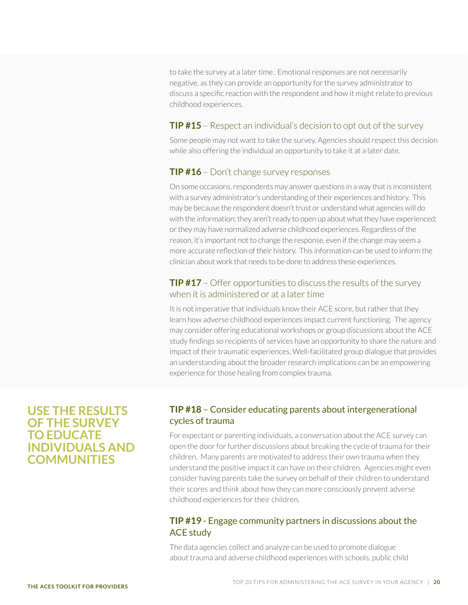to take the survey at a later time. Emotional responses are not necessarily negative, as they can provide an opportunity for the survey administrator to discuss a specific reaction with the respondent and how it might relate to previous childhood experiences.

#### **TIP #15** – Respect an individual's decision to opt out of the survey

Some people may not want to take the survey. Agencies should respect this decision while also offering the individual an opportunity to take it at a later date.

#### **TIP #16** – Don't change survey responses

On some occasions, respondents may answer questions in a way that is inconsistent with a survey administrator's understanding of their experiences and history. This may be because the respondent doesn't trust or understand what agencies will do with the information; they aren't ready to open up about what they have experienced; or they may have normalized adverse childhood experiences. Regardless of the reason, it's important not to change the response, even if the change may seem a more accurate reflection of their history. This information can be used to inform the clinician about work that needs to be done to address these experiences.

#### **TIP #17** – Offer opportunities to discuss the results of the survey when it is administered or at a later time

It is not imperative that individuals know their ACE score, but rather that they learn how adverse childhood experiences impact current functioning. The agency may consider offering educational workshops or group discussions about the ACE study findings so recipients of services have an opportunity to share the nature and impact of their traumatic experiences. Well-facilitated group dialogue that provides an understanding about the broader research implications can be an empowering experience for those healing from complex trauma.

#### **USE THE RESULTS OF THE SURVEY TO EDUCATE INDIVIDUALS AND COMMUNITIES**

#### **TIP #18** – Consider educating parents about intergenerational cycles of trauma

For expectant or parenting individuals, a conversation about the ACE survey can open the door for further discussions about breaking the cycle of trauma for their children. Many parents are motivated to address their own trauma when they understand the positive impact it can have on their children. Agencies might even consider having parents take the survey on behalf of their children to understand their scores and think about how they can more consciously prevent adverse childhood experiences for their children.

#### **TIP #19** - Engage community partners in discussions about the ACE study

The data agencies collect and analyze can be used to promote dialogue about trauma and adverse childhood experiences with schools, public child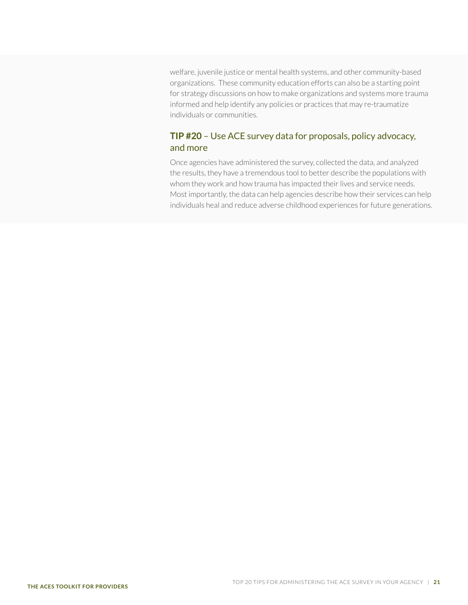welfare, juvenile justice or mental health systems, and other community-based organizations. These community education efforts can also be a starting point for strategy discussions on how to make organizations and systems more trauma informed and help identify any policies or practices that may re-traumatize individuals or communities.

#### **TIP #20** – Use ACE survey data for proposals, policy advocacy, and more

Once agencies have administered the survey, collected the data, and analyzed the results, they have a tremendous tool to better describe the populations with whom they work and how trauma has impacted their lives and service needs. Most importantly, the data can help agencies describe how their services can help individuals heal and reduce adverse childhood experiences for future generations.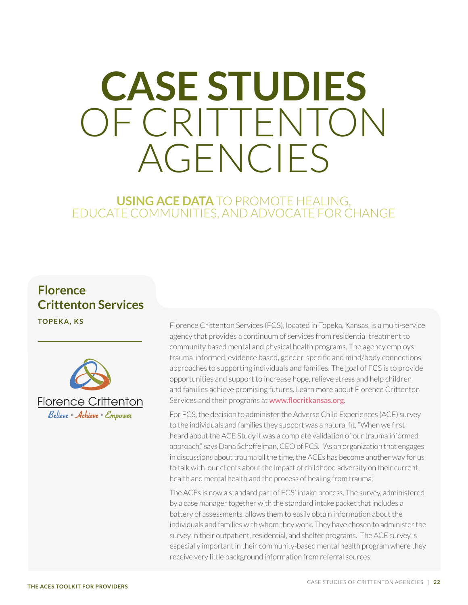## <span id="page-21-1"></span><span id="page-21-0"></span>**CASE STUDIES**  OF CRITTENTON AGENCIES

## **USING ACE DATA** TO PROMOTE HEALING, EDUCATE COMMUNITIES, AND ADVOCATE FOR CHANGE

## **Florence Crittenton Services**



**TOPEKA, KS** Florence Crittenton Services (FCS), located in Topeka, Kansas, is a multi-service agency that provides a continuum of services from residential treatment to community based mental and physical health programs. The agency employs trauma-informed, evidence based, gender-specific and mind/body connections approaches to supporting individuals and families. The goal of FCS is to provide opportunities and support to increase hope, relieve stress and help children and families achieve promising futures. Learn more about Florence Crittenton Services and their programs at <www.flocritkansas.org>.

> For FCS, the decision to administer the Adverse Child Experiences (ACE) survey to the individuals and families they support was a natural fit. "When we first heard about the ACE Study it was a complete validation of our trauma informed approach," says Dana Schoffelman, CEO of FCS. "As an organization that engages in discussions about trauma all the time, the ACEs has become another way for us to talk with our clients about the impact of childhood adversity on their current health and mental health and the process of healing from trauma."

> The ACEs is now a standard part of FCS' intake process. The survey, administered by a case manager together with the standard intake packet that includes a battery of assessments, allows them to easily obtain information about the individuals and families with whom they work. They have chosen to administer the survey in their outpatient, residential, and shelter programs. The ACE survey is especially important in their community-based mental health program where they receive very little background information from referral sources.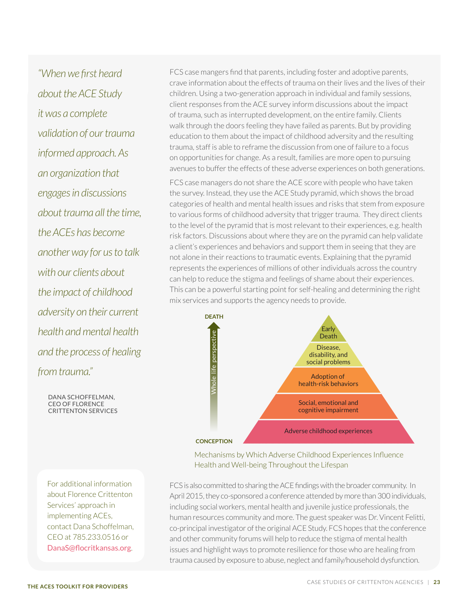*"When we first heard about the ACE Study it was a complete validation of our trauma informed approach. As an organization that engages in discussions about trauma all the time, the ACEs has become another way for us to talk with our clients about the impact of childhood adversity on their current health and mental health and the process of healing from trauma."*

For additional information about Florence Crittenton Services' approach in implementing ACEs, contact Dana Schoffelman, CEO at 785.233.0516 or [DanaS@flocritkansas.org](mailto:DanaS%40flocritkansas.org?subject=ACES%20Implementation).

DANA SCHOFFELMAN, CEO OF FLORENCE CRITTENTON SERVICES FCS case mangers find that parents, including foster and adoptive parents, crave information about the effects of trauma on their lives and the lives of their children. Using a two-generation approach in individual and family sessions, client responses from the ACE survey inform discussions about the impact of trauma, such as interrupted development, on the entire family. Clients walk through the doors feeling they have failed as parents. But by providing education to them about the impact of childhood adversity and the resulting trauma, staff is able to reframe the discussion from one of failure to a focus on opportunities for change. As a result, families are more open to pursuing avenues to buffer the effects of these adverse experiences on both generations.

FCS case managers do not share the ACE score with people who have taken the survey. Instead, they use the ACE Study pyramid, which shows the broad categories of health and mental health issues and risks that stem from exposure to various forms of childhood adversity that trigger trauma. They direct clients to the level of the pyramid that is most relevant to their experiences, e.g. health risk factors. Discussions about where they are on the pyramid can help validate a client's experiences and behaviors and support them in seeing that they are not alone in their reactions to traumatic events. Explaining that the pyramid represents the experiences of millions of other individuals across the country can help to reduce the stigma and feelings of shame about their experiences. This can be a powerful starting point for self-healing and determining the right mix services and supports the agency needs to provide.



Mechanisms by Which Adverse Childhood Experiences Influence Health and Well-being Throughout the Lifespan

FCS is also committed to sharing the ACE findings with the broader community. In April 2015, they co-sponsored a conference attended by more than 300 individuals, including social workers, mental health and juvenile justice professionals, the human resources community and more. The guest speaker was Dr. Vincent Felitti, co-principal investigator of the original ACE Study. FCS hopes that the conference and other community forums will help to reduce the stigma of mental health issues and highlight ways to promote resilience for those who are healing from trauma caused by exposure to abuse, neglect and family/household dysfunction.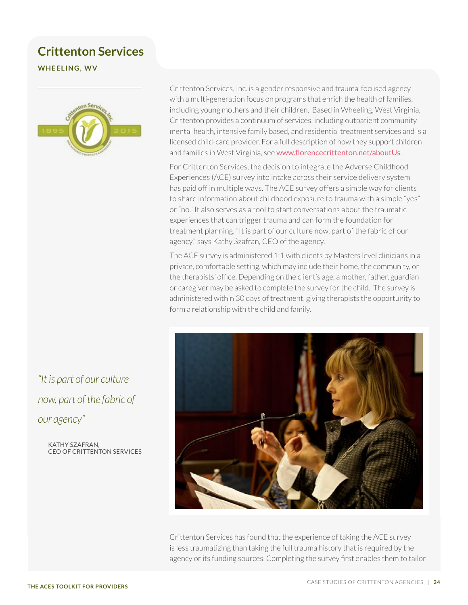## **Crittenton Services**

**WHEELING, WV**



*"It is part of our culture now, part of the fabric of our agency"*

> KATHY SZAFRAN, CEO OF CRITTENTON SERVICES

Crittenton Services, Inc. is a gender responsive and trauma-focused agency with a multi-generation focus on programs that enrich the health of families, including young mothers and their children. Based in Wheeling, West Virginia, Crittenton provides a continuum of services, including outpatient community mental health, intensive family based, and residential treatment services and is a licensed child-care provider. For a full description of how they support children and families in West Virginia, see [www.florencecrittenton.net/aboutUs](http://www.florencecrittenton.net/aboutUs).

For Crittenton Services, the decision to integrate the Adverse Childhood Experiences (ACE) survey into intake across their service delivery system has paid off in multiple ways. The ACE survey offers a simple way for clients to share information about childhood exposure to trauma with a simple "yes" or "no." It also serves as a tool to start conversations about the traumatic experiences that can trigger trauma and can form the foundation for treatment planning. "It is part of our culture now, part of the fabric of our agency," says Kathy Szafran, CEO of the agency.

The ACE survey is administered 1:1 with clients by Masters level clinicians in a private, comfortable setting, which may include their home, the community, or the therapists' office. Depending on the client's age, a mother, father, guardian or caregiver may be asked to complete the survey for the child. The survey is administered within 30 days of treatment, giving therapists the opportunity to form a relationship with the child and family.



Crittenton Services has found that the experience of taking the ACE survey is less traumatizing than taking the full trauma history that is required by the agency or its funding sources. Completing the survey first enables them to tailor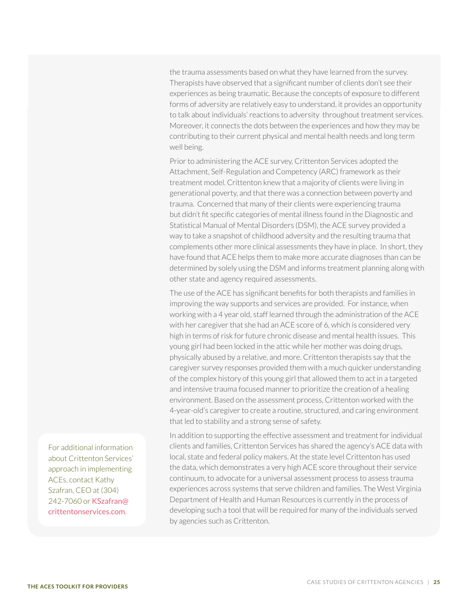the trauma assessments based on what they have learned from the survey. Therapists have observed that a significant number of clients don't see their experiences as being traumatic. Because the concepts of exposure to different forms of adversity are relatively easy to understand, it provides an opportunity to talk about individuals' reactions to adversity throughout treatment services. Moreover, it connects the dots between the experiences and how they may be contributing to their current physical and mental health needs and long term well being.

Prior to administering the ACE survey, Crittenton Services adopted the Attachment, Self-Regulation and Competency (ARC) framework as their treatment model. Crittenton knew that a majority of clients were living in generational poverty, and that there was a connection between poverty and trauma. Concerned that many of their clients were experiencing trauma but didn't fit specific categories of mental illness found in the Diagnostic and Statistical Manual of Mental Disorders (DSM), the ACE survey provided a way to take a snapshot of childhood adversity and the resulting trauma that complements other more clinical assessments they have in place. In short, they have found that ACE helps them to make more accurate diagnoses than can be determined by solely using the DSM and informs treatment planning along with other state and agency required assessments.

The use of the ACE has significant benefits for both therapists and families in improving the way supports and services are provided. For instance, when working with a 4 year old, staff learned through the administration of the ACE with her caregiver that she had an ACE score of 6, which is considered very high in terms of risk for future chronic disease and mental health issues. This young girl had been locked in the attic while her mother was doing drugs, physically abused by a relative, and more. Crittenton therapists say that the caregiver survey responses provided them with a much quicker understanding of the complex history of this young girl that allowed them to act in a targeted and intensive trauma focused manner to prioritize the creation of a healing environment. Based on the assessment process, Crittenton worked with the 4-year-old's caregiver to create a routine, structured, and caring environment that led to stability and a strong sense of safety.

In addition to supporting the effective assessment and treatment for individual clients and families, Crittenton Services has shared the agency's ACE data with local, state and federal policy makers. At the state level Crittenton has used the data, which demonstrates a very high ACE score throughout their service continuum, to advocate for a universal assessment process to assess trauma experiences across systems that serve children and families. The West Virginia Department of Health and Human Resources is currently in the process of developing such a tool that will be required for many of the individuals served by agencies such as Crittenton.

For additional information about Crittenton Services' approach in implementing ACEs, contact Kathy Szafran, CEO at (304) 242-7060 or [KSzafran@](mailto:KSzafran%40crittentonservices.com?subject=ACES%20Implementation) [crittentonservices.com](mailto:KSzafran%40crittentonservices.com?subject=ACES%20Implementation).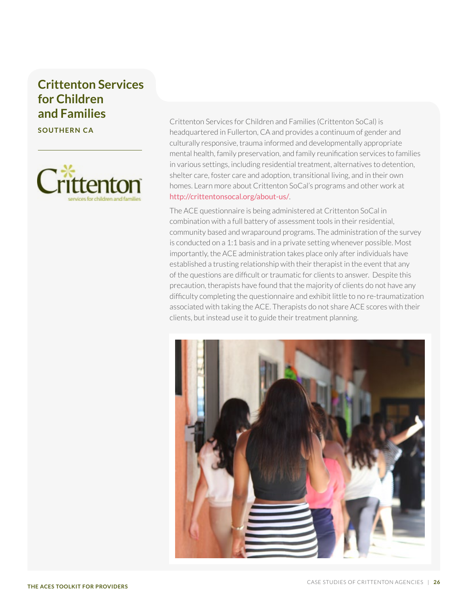## **Crittenton Services for Children and Families**

**SOUTHERN CA**



Crittenton Services for Children and Families (Crittenton SoCal) is headquartered in Fullerton, CA and provides a continuum of gender and culturally responsive, trauma informed and developmentally appropriate mental health, family preservation, and family reunification services to families in various settings, including residential treatment, alternatives to detention, shelter care, foster care and adoption, transitional living, and in their own homes. Learn more about Crittenton SoCal's programs and other work at <http://crittentonsocal.org/about-us/>.

The ACE questionnaire is being administered at Crittenton SoCal in combination with a full battery of assessment tools in their residential, community based and wraparound programs. The administration of the survey is conducted on a 1:1 basis and in a private setting whenever possible. Most importantly, the ACE administration takes place only after individuals have established a trusting relationship with their therapist in the event that any of the questions are difficult or traumatic for clients to answer. Despite this precaution, therapists have found that the majority of clients do not have any difficulty completing the questionnaire and exhibit little to no re-traumatization associated with taking the ACE. Therapists do not share ACE scores with their clients, but instead use it to guide their treatment planning.

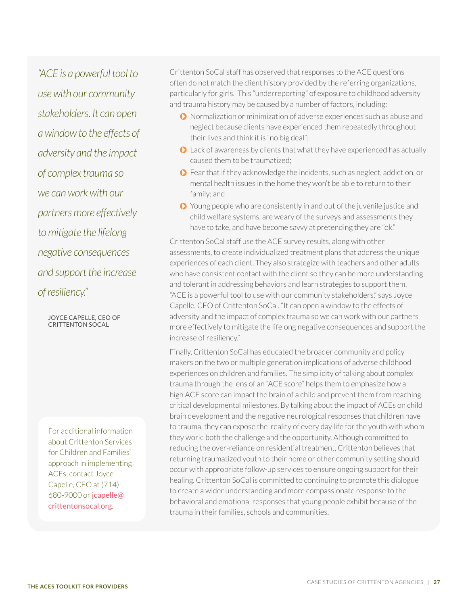*"ACE is a powerful tool to use with our community stakeholders. It can open a window to the effects of adversity and the impact of complex trauma so we can work with our partners more effectively to mitigate the lifelong negative consequences and support the increase of resiliency."* 

> JOYCE CAPELLE, CEO OF CRITTENTON SOCAL

For additional information about Crittenton Services for Children and Families' approach in implementing ACEs, contact Joyce Capelle, CEO at (714) 680-9000 or [jcapelle@](mailto:jcapelle%40crittentonsocal.org?subject=ACES%20Implementation) [crittentonsocal.org](mailto:jcapelle%40crittentonsocal.org?subject=ACES%20Implementation).

Crittenton SoCal staff has observed that responses to the ACE questions often do not match the client history provided by the referring organizations, particularly for girls. This "underreporting" of exposure to childhood adversity and trauma history may be caused by a number of factors, including:

- Normalization or minimization of adverse experiences such as abuse and neglect because clients have experienced them repeatedly throughout their lives and think it is "no big deal";
- Lack of awareness by clients that what they have experienced has actually caused them to be traumatized;
- Fear that if they acknowledge the incidents, such as neglect, addiction, or mental health issues in the home they won't be able to return to their family; and
- Young people who are consistently in and out of the juvenile justice and child welfare systems, are weary of the surveys and assessments they have to take, and have become savvy at pretending they are "ok."

Crittenton SoCal staff use the ACE survey results, along with other assessments, to create individualized treatment plans that address the unique experiences of each client. They also strategize with teachers and other adults who have consistent contact with the client so they can be more understanding and tolerant in addressing behaviors and learn strategies to support them. "ACE is a powerful tool to use with our community stakeholders," says Joyce Capelle, CEO of Crittenton SoCal. "It can open a window to the effects of adversity and the impact of complex trauma so we can work with our partners more effectively to mitigate the lifelong negative consequences and support the increase of resiliency."

Finally, Crittenton SoCal has educated the broader community and policy makers on the two or multiple generation implications of adverse childhood experiences on children and families. The simplicity of talking about complex trauma through the lens of an "ACE score" helps them to emphasize how a high ACE score can impact the brain of a child and prevent them from reaching critical developmental milestones. By talking about the impact of ACEs on child brain development and the negative neurological responses that children have to trauma, they can expose the reality of every day life for the youth with whom they work: both the challenge and the opportunity. Although committed to reducing the over-reliance on residential treatment, Crittenton believes that returning traumatized youth to their home or other community setting should occur with appropriate follow-up services to ensure ongoing support for their healing. Crittenton SoCal is committed to continuing to promote this dialogue to create a wider understanding and more compassionate response to the behavioral and emotional responses that young people exhibit because of the trauma in their families, schools and communities.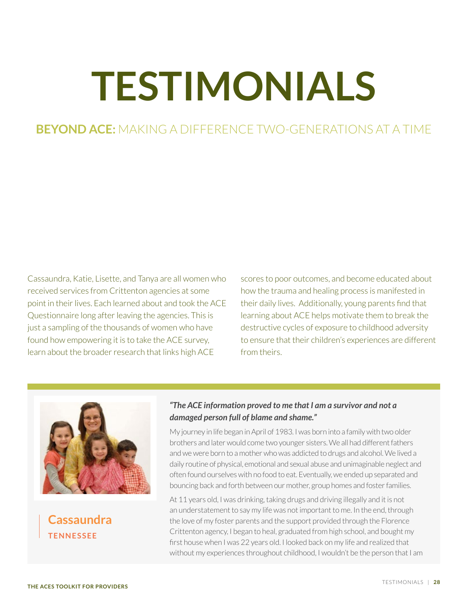# <span id="page-27-1"></span><span id="page-27-0"></span>**TESTIMONIALS**

## **BEYOND ACE:** MAKING A DIFFERENCE TWO-GENERATIONS AT A TIME

Cassaundra, Katie, Lisette, and Tanya are all women who received services from Crittenton agencies at some point in their lives. Each learned about and took the ACE Questionnaire long after leaving the agencies. This is just a sampling of the thousands of women who have found how empowering it is to take the ACE survey, learn about the broader research that links high ACE

scores to poor outcomes, and become educated about how the trauma and healing process is manifested in their daily lives. Additionally, young parents find that learning about ACE helps motivate them to break the destructive cycles of exposure to childhood adversity to ensure that their children's experiences are different from theirs.



**Cassaundra TENNESSEE**

#### *"The ACE information proved to me that I am a survivor and not a damaged person full of blame and shame."*

My journey in life began in April of 1983. I was born into a family with two older brothers and later would come two younger sisters. We all had different fathers and we were born to a mother who was addicted to drugs and alcohol. We lived a daily routine of physical, emotional and sexual abuse and unimaginable neglect and often found ourselves with no food to eat. Eventually, we ended up separated and bouncing back and forth between our mother, group homes and foster families.

At 11 years old, I was drinking, taking drugs and driving illegally and it is not an understatement to say my life was not important to me. In the end, through the love of my foster parents and the support provided through the Florence Crittenton agency, I began to heal, graduated from high school, and bought my first house when I was 22 years old. I looked back on my life and realized that without my experiences throughout childhood, I wouldn't be the person that I am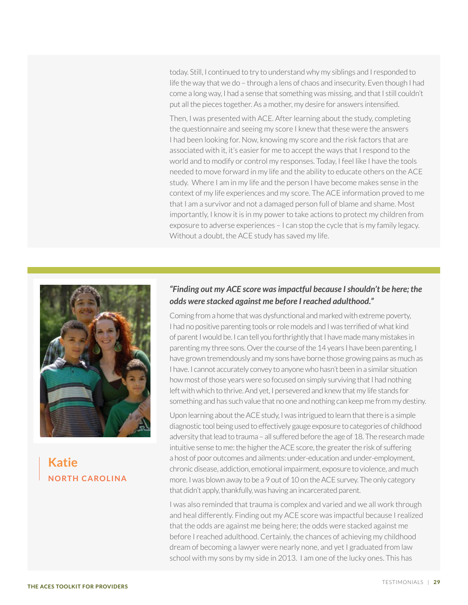today. Still, I continued to try to understand why my siblings and I responded to life the way that we do – through a lens of chaos and insecurity. Even though I had come a long way, I had a sense that something was missing, and that I still couldn't put all the pieces together. As a mother, my desire for answers intensified.

Then, I was presented with ACE. After learning about the study, completing the questionnaire and seeing my score I knew that these were the answers I had been looking for. Now, knowing my score and the risk factors that are associated with it, it's easier for me to accept the ways that I respond to the world and to modify or control my responses. Today, I feel like I have the tools needed to move forward in my life and the ability to educate others on the ACE study. Where I am in my life and the person I have become makes sense in the context of my life experiences and my score. The ACE information proved to me that I am a survivor and not a damaged person full of blame and shame. Most importantly, I know it is in my power to take actions to protect my children from exposure to adverse experiences – I can stop the cycle that is my family legacy. Without a doubt, the ACE study has saved my life.



## **Katie NORTH CAROLINA**

#### *"Finding out my ACE score was impactful because I shouldn't be here; the odds were stacked against me before I reached adulthood."*

Coming from a home that was dysfunctional and marked with extreme poverty, I had no positive parenting tools or role models and I was terrified of what kind of parent I would be. I can tell you forthrightly that I have made many mistakes in parenting my three sons. Over the course of the 14 years I have been parenting, I have grown tremendously and my sons have borne those growing pains as much as I have. I cannot accurately convey to anyone who hasn't been in a similar situation how most of those years were so focused on simply surviving that I had nothing left with which to thrive. And yet, I persevered and knew that my life stands for something and has such value that no one and nothing can keep me from my destiny.

Upon learning about the ACE study, I was intrigued to learn that there is a simple diagnostic tool being used to effectively gauge exposure to categories of childhood adversity that lead to trauma – all suffered before the age of 18. The research made intuitive sense to me: the higher the ACE score, the greater the risk of suffering a host of poor outcomes and ailments: under-education and under-employment, chronic disease, addiction, emotional impairment, exposure to violence, and much more. I was blown away to be a 9 out of 10 on the ACE survey. The only category that didn't apply, thankfully, was having an incarcerated parent.

I was also reminded that trauma is complex and varied and we all work through and heal differently. Finding out my ACE score was impactful because I realized that the odds are against me being here; the odds were stacked against me before I reached adulthood. Certainly, the chances of achieving my childhood dream of becoming a lawyer were nearly none, and yet I graduated from law school with my sons by my side in 2013. I am one of the lucky ones. This has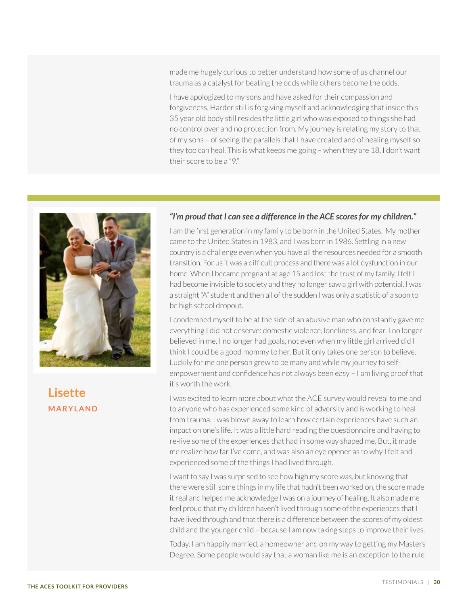made me hugely curious to better understand how some of us channel our trauma as a catalyst for beating the odds while others become the odds.

I have apologized to my sons and have asked for their compassion and forgiveness. Harder still is forgiving myself and acknowledging that inside this 35 year old body still resides the little girl who was exposed to things she had no control over and no protection from. My journey is relating my story to that of my sons – of seeing the parallels that I have created and of healing myself so they too can heal. This is what keeps me going – when they are 18, I don't want their score to be a "9."



## **Lisette MARYLAND**

#### *"I'm proud that I can see a difference in the ACE scores for my children."*

I am the first generation in my family to be born in the United States. My mother came to the United States in 1983, and I was born in 1986. Settling in a new country is a challenge even when you have all the resources needed for a smooth transition. For us it was a difficult process and there was a lot dysfunction in our home. When I became pregnant at age 15 and lost the trust of my family, I felt I had become invisible to society and they no longer saw a girl with potential. I was a straight "A" student and then all of the sudden I was only a statistic of a soon to be high school dropout.

I condemned myself to be at the side of an abusive man who constantly gave me everything I did not deserve: domestic violence, loneliness, and fear. I no longer believed in me. I no longer had goals, not even when my little girl arrived did I think I could be a good mommy to her. But it only takes one person to believe. Luckily for me one person grew to be many and while my journey to selfempowerment and confidence has not always been easy – I am living proof that it's worth the work.

I was excited to learn more about what the ACE survey would reveal to me and to anyone who has experienced some kind of adversity and is working to heal from trauma. I was blown away to learn how certain experiences have such an impact on one's life. It was a little hard reading the questionnaire and having to re-live some of the experiences that had in some way shaped me. But, it made me realize how far I've come, and was also an eye opener as to why I felt and experienced some of the things I had lived through.

I want to say I was surprised to see how high my score was, but knowing that there were still some things in my life that hadn't been worked on, the score made it real and helped me acknowledge I was on a journey of healing. It also made me feel proud that my children haven't lived through some of the experiences that I have lived through and that there is a difference between the scores of my oldest child and the younger child – because I am now taking steps to improve their lives.

Today, I am happily married, a homeowner and on my way to getting my Masters Degree. Some people would say that a woman like me is an exception to the rule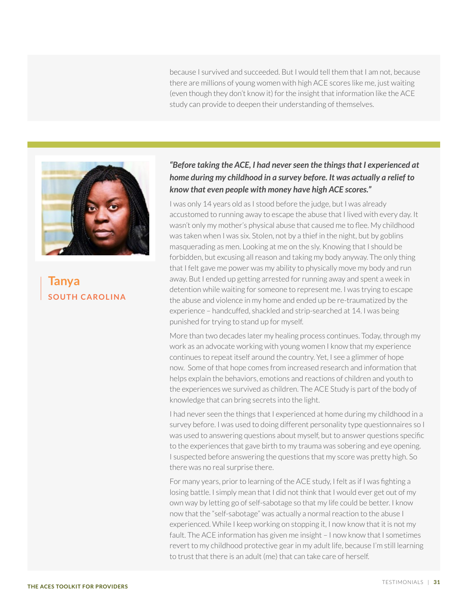because I survived and succeeded. But I would tell them that I am not, because there are millions of young women with high ACE scores like me, just waiting (even though they don't know it) for the insight that information like the ACE study can provide to deepen their understanding of themselves.



**Tanya SOUTH CAROLINA**

#### *"Before taking the ACE, I had never seen the things that I experienced at home during my childhood in a survey before. It was actually a relief to know that even people with money have high ACE scores."*

I was only 14 years old as I stood before the judge, but I was already accustomed to running away to escape the abuse that I lived with every day. It wasn't only my mother's physical abuse that caused me to flee. My childhood was taken when I was six. Stolen, not by a thief in the night, but by goblins masquerading as men. Looking at me on the sly. Knowing that I should be forbidden, but excusing all reason and taking my body anyway. The only thing that I felt gave me power was my ability to physically move my body and run away. But I ended up getting arrested for running away and spent a week in detention while waiting for someone to represent me. I was trying to escape the abuse and violence in my home and ended up be re-traumatized by the experience – handcuffed, shackled and strip-searched at 14. I was being punished for trying to stand up for myself.

More than two decades later my healing process continues. Today, through my work as an advocate working with young women I know that my experience continues to repeat itself around the country. Yet, I see a glimmer of hope now. Some of that hope comes from increased research and information that helps explain the behaviors, emotions and reactions of children and youth to the experiences we survived as children. The ACE Study is part of the body of knowledge that can bring secrets into the light.

I had never seen the things that I experienced at home during my childhood in a survey before. I was used to doing different personality type questionnaires so I was used to answering questions about myself, but to answer questions specific to the experiences that gave birth to my trauma was sobering and eye opening. I suspected before answering the questions that my score was pretty high. So there was no real surprise there.

For many years, prior to learning of the ACE study, I felt as if I was fighting a losing battle. I simply mean that I did not think that I would ever get out of my own way by letting go of self-sabotage so that my life could be better. I know now that the "self-sabotage" was actually a normal reaction to the abuse I experienced. While I keep working on stopping it, I now know that it is not my fault. The ACE information has given me insight – I now know that I sometimes revert to my childhood protective gear in my adult life, because I'm still learning to trust that there is an adult (me) that can take care of herself.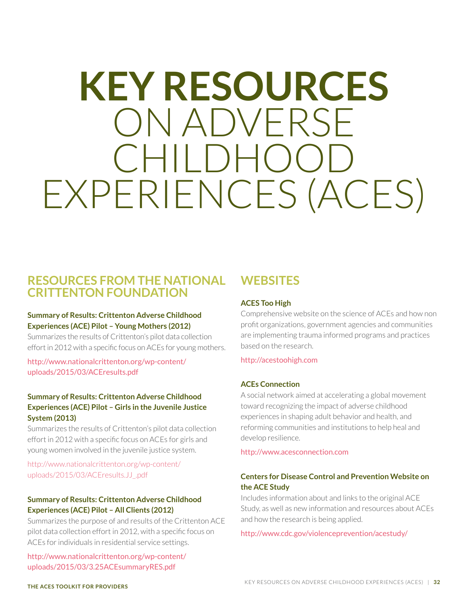## <span id="page-31-1"></span><span id="page-31-0"></span>**KEY RESOURCES**  ON ADVERSE CHILDHO EXPERIENCES (ACES)

## **RESOURCES FROM THE NATIONAL CRITTENTON FOUNDATION**

#### **Summary of Results: Crittenton Adverse Childhood Experiences (ACE) Pilot – Young Mothers (2012)**

Summarizes the results of Crittenton's pilot data collection effort in 2012 with a specific focus on ACEs for young mothers.

[http://www.nationalcrittenton.org/wp-content/](http://www.nationalcrittenton.org/wp-content/uploads/2015/03/ACEresults.pdf) [uploads/2015/03/ACEresults.pdf](http://www.nationalcrittenton.org/wp-content/uploads/2015/03/ACEresults.pdf)

#### **Summary of Results: Crittenton Adverse Childhood Experiences (ACE) Pilot – Girls in the Juvenile Justice System (2013)**

Summarizes the results of Crittenton's pilot data collection effort in 2012 with a specific focus on ACEs for girls and young women involved in the juvenile justice system.

[http://www.nationalcrittenton.org/wp-content/](http://www.nationalcrittenton.org/wp-content/uploads/2015/03/ACEresults.JJ_.pdf) [uploads/2015/03/ACEresults.JJ\\_.pdf](http://www.nationalcrittenton.org/wp-content/uploads/2015/03/ACEresults.JJ_.pdf)

#### **Summary of Results: Crittenton Adverse Childhood Experiences (ACE) Pilot – All Clients (2012)**

Summarizes the purpose of and results of the Crittenton ACE pilot data collection effort in 2012, with a specific focus on ACEs for individuals in residential service settings.

[http://www.nationalcrittenton.org/wp-content/](http://www.nationalcrittenton.org/wp-content/uploads/2015/03/3.25ACEsummaryRES.pdf) [uploads/2015/03/3.25ACEsummaryRES.pdf](http://www.nationalcrittenton.org/wp-content/uploads/2015/03/3.25ACEsummaryRES.pdf)

## **WEBSITES**

#### **ACES Too High**

Comprehensive website on the science of ACEs and how non profit organizations, government agencies and communities are implementing trauma informed programs and practices based on the research.

#### <http://acestoohigh.com>

#### **ACEs Connection**

A social network aimed at accelerating a global movement toward recognizing the impact of adverse childhood experiences in shaping adult behavior and health, and reforming communities and institutions to help heal and develop resilience.

<http://www.acesconnection.com>

#### **Centers for Disease Control and Prevention Website on the ACE Study**

Includes information about and links to the original ACE Study, as well as new information and resources about ACEs and how the research is being applied.

[http://www.cdc.gov/violenceprevention/acestudy/](http://www.cdc.gov/violenceprevention/acestudy/%20)